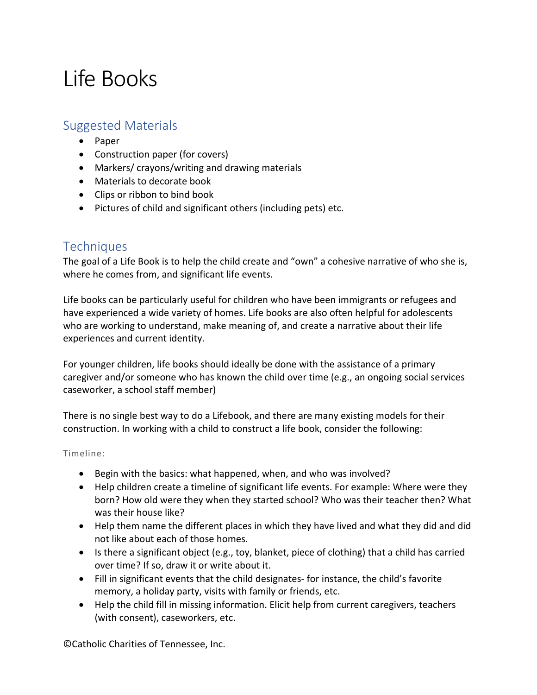# Life Books

# Suggested Materials

- Paper
- Construction paper (for covers)
- Markers/ crayons/writing and drawing materials
- Materials to decorate book
- Clips or ribbon to bind book
- Pictures of child and significant others (including pets) etc.

## **Techniques**

The goal of a Life Book is to help the child create and "own" a cohesive narrative of who she is, where he comes from, and significant life events.

Life books can be particularly useful for children who have been immigrants or refugees and have experienced a wide variety of homes. Life books are also often helpful for adolescents who are working to understand, make meaning of, and create a narrative about their life experiences and current identity.

For younger children, life books should ideally be done with the assistance of a primary caregiver and/or someone who has known the child over time (e.g., an ongoing social services caseworker, a school staff member)

There is no single best way to do a Lifebook, and there are many existing models for their construction. In working with a child to construct a life book, consider the following:

## Timeline:

- Begin with the basics: what happened, when, and who was involved?
- Help children create a timeline of significant life events. For example: Where were they born? How old were they when they started school? Who was their teacher then? What was their house like?
- Help them name the different places in which they have lived and what they did and did not like about each of those homes.
- Is there a significant object (e.g., toy, blanket, piece of clothing) that a child has carried over time? If so, draw it or write about it.
- Fill in significant events that the child designates- for instance, the child's favorite memory, a holiday party, visits with family or friends, etc.
- Help the child fill in missing information. Elicit help from current caregivers, teachers (with consent), caseworkers, etc.

©Catholic Charities of Tennessee, Inc.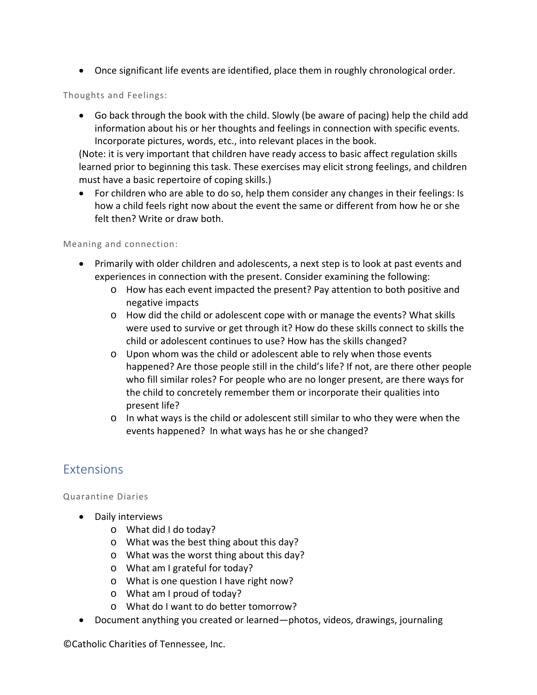• Once significant life events are identified, place them in roughly chronological order.

### Thoughts and Feelings:

• Go back through the book with the child. Slowly (be aware of pacing) help the child add information about his or her thoughts and feelings in connection with specific events. Incorporate pictures, words, etc., into relevant places in the book.

(Note: it is very important that children have ready access to basic affect regulation skills learned prior to beginning this task. These exercises may elicit strong feelings, and children must have a basic repertoire of coping skills.)

• For children who are able to do so, help them consider any changes in their feelings: Is how a child feels right now about the event the same or different from how he or she felt then? Write or draw both.

#### Meaning and connection:

- Primarily with older children and adolescents, a next step is to look at past events and experiences in connection with the present. Consider examining the following:
	- o How has each event impacted the present? Pay attention to both positive and negative impacts
	- o How did the child or adolescent cope with or manage the events? What skills were used to survive or get through it? How do these skills connect to skills the child or adolescent continues to use? How has the skills changed?
	- o Upon whom was the child or adolescent able to rely when those events happened? Are those people still in the child's life? If not, are there other people who fill similar roles? For people who are no longer present, are there ways for the child to concretely remember them or incorporate their qualities into present life?
	- o In what ways is the child or adolescent still similar to who they were when the events happened? In what ways has he or she changed?

## Extensions

Quarantine Diaries

- Daily interviews
	- o What did I do today?
	- o What was the best thing about this day?
	- o What was the worst thing about this day?
	- o What am I grateful for today?
	- o What is one question I have right now?
	- o What am I proud of today?
	- o What do I want to do better tomorrow?
- Document anything you created or learned—photos, videos, drawings, journaling

©Catholic Charities of Tennessee, Inc.